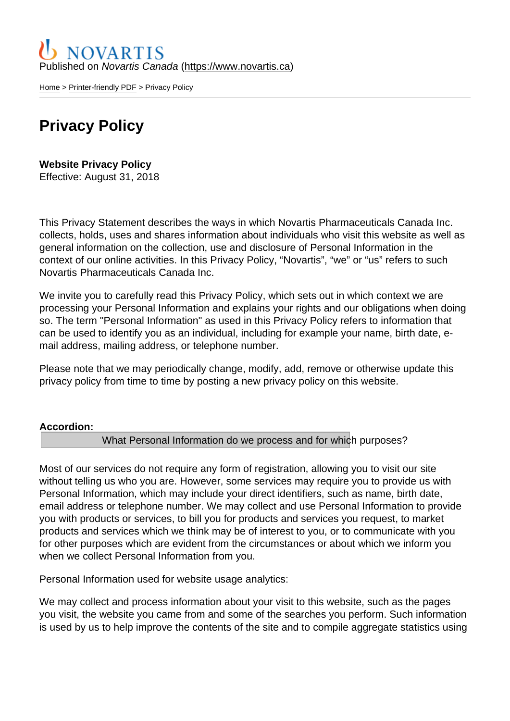Published on Novartis Canada [\(https://www.novartis.ca\)](https://www.novartis.ca)

[Home](https://www.novartis.ca/en) > [Printer-friendly PDF](https://www.novartis.ca/en/printpdf) > Privacy Policy

# Privacy Policy

Website Privacy Policy Effective: August 31, 2018

This Privacy Statement describes the ways in which Novartis Pharmaceuticals Canada Inc. collects, holds, uses and shares information about individuals who visit this website as well as general information on the collection, use and disclosure of Personal Information in the context of our online activities. In this Privacy Policy, "Novartis", "we" or "us" refers to such Novartis Pharmaceuticals Canada Inc.

We invite you to carefully read this Privacy Policy, which sets out in which context we are processing your Personal Information and explains your rights and our obligations when doing so. The term "Personal Information" as used in this Privacy Policy refers to information that can be used to identify you as an individual, including for example your name, birth date, email address, mailing address, or telephone number.

Please note that we may periodically change, modify, add, remove or otherwise update this privacy policy from time to time by posting a new privacy policy on this website.

Accordion :

What Personal Information do we process and for which purposes?

Most of our services do not require any form of registration, allowing you to visit our site without telling us who you are. However, some services may require you to provide us with Personal Information, which may include your direct identifiers, such as name, birth date, email address or telephone number. We may collect and use Personal Information to provide you with products or services, to bill you for products and services you request, to market products and services which we think may be of interest to you, or to communicate with you for other purposes which are evident from the circumstances or about which we inform you when we collect Personal Information from you.

Personal Information used for website usage analytics:

We may collect and process information about your visit to this website, such as the pages you visit, the website you came from and some of the searches you perform. Such information is used by us to help improve the contents of the site and to compile aggregate statistics using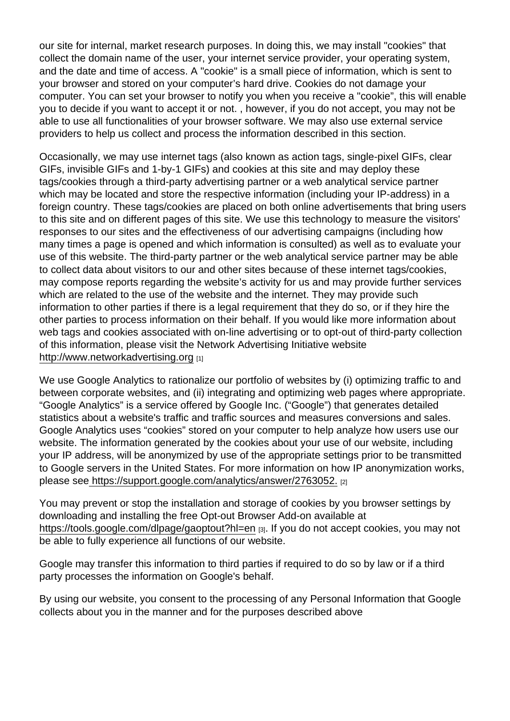our site for internal, market research purposes. In doing this, we may install "cookies" that collect the domain name of the user, your internet service provider, your operating system, and the date and time of access. A "cookie" is a small piece of information, which is sent to your browser and stored on your computer's hard drive. Cookies do not damage your computer. You can set your browser to notify you when you receive a "cookie", this will enable you to decide if you want to accept it or not. , however, if you do not accept, you may not be able to use all functionalities of your browser software. We may also use external service providers to help us collect and process the information described in this section.

Occasionally, we may use internet tags (also known as action tags, single-pixel GIFs, clear GIFs, invisible GIFs and 1-by-1 GIFs) and cookies at this site and may deploy these tags/cookies through a third-party advertising partner or a web analytical service partner which may be located and store the respective information (including your IP-address) in a foreign country. These tags/cookies are placed on both online advertisements that bring users to this site and on different pages of this site. We use this technology to measure the visitors' responses to our sites and the effectiveness of our advertising campaigns (including how many times a page is opened and which information is consulted) as well as to evaluate your use of this website. The third-party partner or the web analytical service partner may be able to collect data about visitors to our and other sites because of these internet tags/cookies, may compose reports regarding the website's activity for us and may provide further services which are related to the use of the website and the internet. They may provide such information to other parties if there is a legal requirement that they do so, or if they hire the other parties to process information on their behalf. If you would like more information about web tags and cookies associated with on-line advertising or to opt-out of third-party collection of this information, please visit the Network Advertising Initiative website [http://www.networkadvertising.org](https://www.networkadvertising.org”) [1]

We use Google Analytics to rationalize our portfolio of websites by (i) optimizing traffic to and between corporate websites, and (ii) integrating and optimizing web pages where appropriate. "Google Analytics" is a service offered by Google Inc. ("Google") that generates detailed statistics about a website's traffic and traffic sources and measures conversions and sales. Google Analytics uses "cookies" stored on your computer to help analyze how users use our website. The information generated by the cookies about your use of our website, including your IP address, will be anonymized by use of the appropriate settings prior to be transmitted to Google servers in the United States. For more information on how IP anonymization works, please se[e https://support.google.com/analytics/answer/2763052.](https://support.google.com/analytics/answer/2763052”) [2]

You may prevent or stop the installation and storage of cookies by you browser settings by downloading and installing the free Opt-out Browser Add-on available at [https://tools.google.com/dlpage/gaoptout?hl=en](https://tools.google.com/dlpage/gaoptout?hl=en</”) [3]. If you do not accept cookies, you may not be able to fully experience all functions of our website.

Google may transfer this information to third parties if required to do so by law or if a third party processes the information on Google's behalf.

By using our website, you consent to the processing of any Personal Information that Google collects about you in the manner and for the purposes described above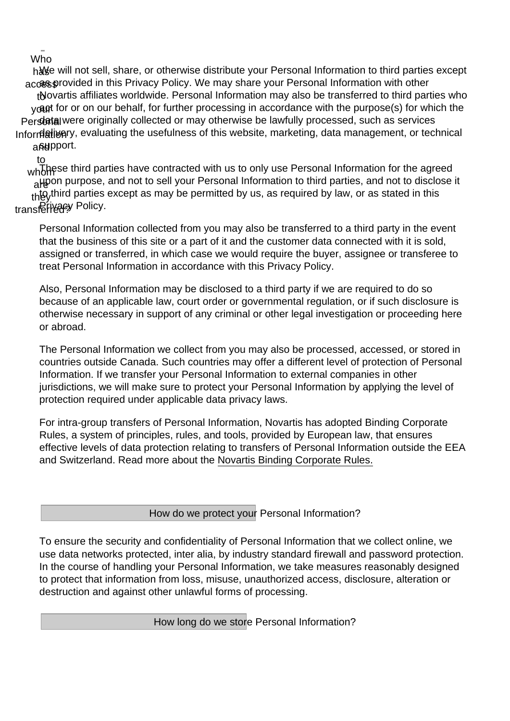Who

h& e will not sell, share, or otherwise distribute your Personal Information to third parties except accesprovided in this Privacy Policy. We may share your Personal Information with other tNovartis affiliates worldwide. Personal Information may also be transferred to third parties who y**ag**t for or on our behalf, for further processing in accordance with the purpose(s) for which the Persbital were originally collected or may otherwise be lawfully processed, such as services Inforr**dativer**y, evaluating the usefulness of this website, marketing, data management, or technical and pport.

to

whot these third parties have contracted with us to only use Personal Information for the agreed <sub>a</sub>ppon purpose, and not to sell your Personal Information to third parties, and not to disclose it thto third parties except as may be permitted by us, as required by law, or as stated in this transferivacy Policy.

Personal Information collected from you may also be transferred to a third party in the event that the business of this site or a part of it and the customer data connected with it is sold, assigned or transferred, in which case we would require the buyer, assignee or transferee to treat Personal Information in accordance with this Privacy Policy.

Also, Personal Information may be disclosed to a third party if we are required to do so because of an applicable law, court order or governmental regulation, or if such disclosure is otherwise necessary in support of any criminal or other legal investigation or proceeding here or abroad.

The Personal Information we collect from you may also be processed, accessed, or stored in countries outside Canada. Such countries may offer a different level of protection of Personal Information. If we transfer your Personal Information to external companies in other jurisdictions, we will make sure to protect your Personal Information by applying the level of protection required under applicable data privacy laws.

For intra-group transfers of Personal Information, Novartis has adopted Binding Corporate Rules, a system of principles, rules, and tools, provided by European law, that ensures effective levels of data protection relating to transfers of Personal Information outside the EEA and Switzerland. Read more about the Novartis Binding Corporate Rules.

How do we protect your Personal Information?

To ensure the security and confidentiality of Personal Information that we collect online, we use data networks protected, inter alia, by industry standard firewall and password protection. In the course of handling your Personal Information, we take measures reasonably designed to protect that information from loss, misuse, unauthorized access, disclosure, alteration or destruction and against other unlawful forms of processing.

How long do we store Personal Information?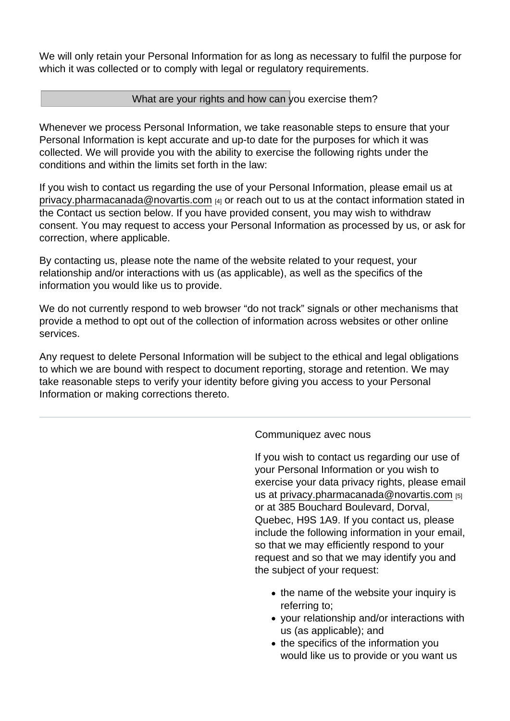We will only retain your Personal Information for as long as necessary to fulfil the purpose for which it was collected or to comply with legal or regulatory requirements.

### What are your rights and how can you exercise them?

Whenever we process Personal Information, we take reasonable steps to ensure that your Personal Information is kept accurate and up-to date for the purposes for which it was collected. We will provide you with the ability to exercise the following rights under the conditions and within the limits set forth in the law:

If you wish to contact us regarding the use of your Personal Information, please email us at [privacy.pharmacanada@novartis.com](https://www.novartis.ca/en/privacy.pharmacanada@novartis.com”)  $_{[4]}$  or reach out to us at the contact information stated in the Contact us section below. If you have provided consent, you may wish to withdraw consent. You may request to access your Personal Information as processed by us, or ask for correction, where applicable.

By contacting us, please note the name of the website related to your request, your relationship and/or interactions with us (as applicable), as well as the specifics of the information you would like us to provide.

We do not currently respond to web browser "do not track" signals or other mechanisms that provide a method to opt out of the collection of information across websites or other online services.

Any request to delete Personal Information will be subject to the ethical and legal obligations to which we are bound with respect to document reporting, storage and retention. We may take reasonable steps to verify your identity before giving you access to your Personal Information or making corrections thereto.

#### Communiquez avec nous

If you wish to contact us regarding our use of your Personal Information or you wish to exercise your data privacy rights, please email us at privacy.pharmacanada@novartis.com [5] or at 385 Bouchard Boulevard, Dorval, Quebec, H9S 1A9. If you contact us, please include the following information in your email, so that we may efficiently respond to your request and so that we may identify you and the subject of your request:

- the name of the website your inquiry is referring to;
- your relationship and/or interactions with us (as applicable); and
- the specifics of the information you would like us to provide or you want us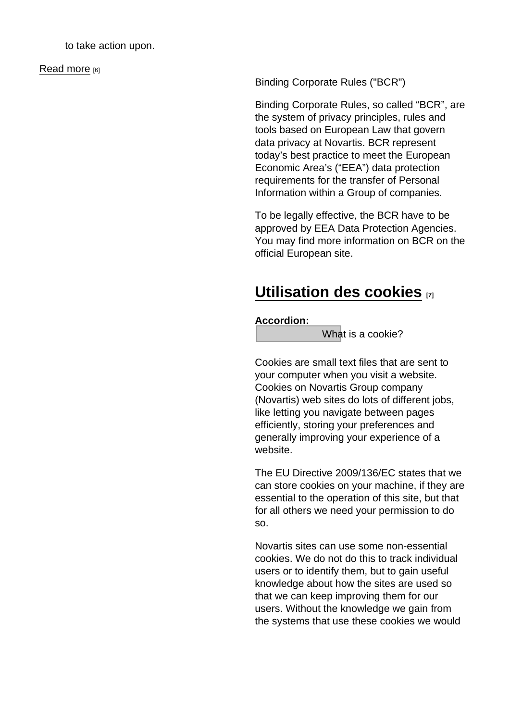to take action upon.

[Read more](https://www.novartis.ca/en/content/communiquez-avec-nous) [6]

Binding Corporate Rules ("BCR")

Binding Corporate Rules, so called "BCR", are the system of privacy principles, rules and tools based on European Law that govern data privacy at Novartis. BCR represent today's best practice to meet the European Economic Area's ("EEA") data protection requirements for the transfer of Personal Information within a Group of companies.

To be legally effective, the BCR have to be approved by EEA Data Protection Agencies. You may find more information on BCR on the official European site.

## [Utilisation des cookies](https://www.novartis.ca/en/utilisation-des-cookies) [7]

Accordion :

What is a cookie?

Cookies are small text files that are sent to your computer when you visit a website. Cookies on Novartis Group company (Novartis) web sites do lots of different jobs, like letting you navigate between pages efficiently, storing your preferences and generally improving your experience of a website.

The EU Directive 2009/136/EC states that we can store cookies on your machine, if they are essential to the operation of this site, but that for all others we need your permission to do so.

Novartis sites can use some non-essential cookies. We do not do this to track individual users or to identify them, but to gain useful knowledge about how the sites are used so that we can keep improving them for our users. Without the knowledge we gain from the systems that use these cookies we would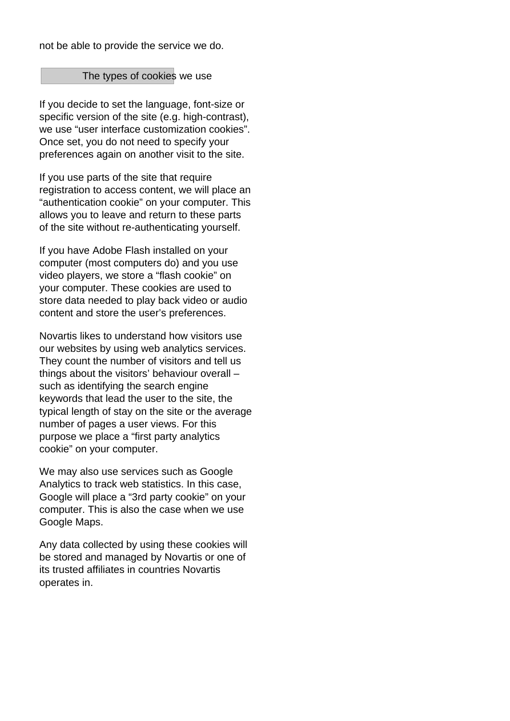not be able to provide the service we do.

#### The types of cookies we use

If you decide to set the language, font-size or specific version of the site (e.g. high-contrast), we use "user interface customization cookies". Once set, you do not need to specify your preferences again on another visit to the site.

If you use parts of the site that require registration to access content, we will place an "authentication cookie" on your computer. This allows you to leave and return to these parts of the site without re-authenticating yourself.

If you have Adobe Flash installed on your computer (most computers do) and you use video players, we store a "flash cookie" on your computer. These cookies are used to store data needed to play back video or audio content and store the user's preferences.

Novartis likes to understand how visitors use our websites by using web analytics services. They count the number of visitors and tell us things about the visitors' behaviour overall – such as identifying the search engine keywords that lead the user to the site, the typical length of stay on the site or the average number of pages a user views. For this purpose we place a "first party analytics cookie" on your computer.

We may also use services such as Google Analytics to track web statistics. In this case, Google will place a "3rd party cookie" on your computer. This is also the case when we use Google Maps.

Any data collected by using these cookies will be stored and managed by Novartis or one of its trusted affiliates in countries Novartis operates in.